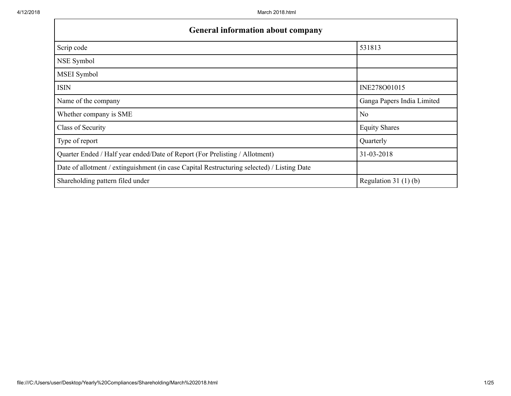| <b>General information about company</b>                                                   |                            |  |  |  |  |  |  |
|--------------------------------------------------------------------------------------------|----------------------------|--|--|--|--|--|--|
| Scrip code                                                                                 | 531813                     |  |  |  |  |  |  |
| NSE Symbol                                                                                 |                            |  |  |  |  |  |  |
| MSEI Symbol                                                                                |                            |  |  |  |  |  |  |
| <b>ISIN</b>                                                                                | INE278O01015               |  |  |  |  |  |  |
| Name of the company                                                                        | Ganga Papers India Limited |  |  |  |  |  |  |
| Whether company is SME                                                                     | N <sub>o</sub>             |  |  |  |  |  |  |
| Class of Security                                                                          | <b>Equity Shares</b>       |  |  |  |  |  |  |
| Type of report                                                                             | Quarterly                  |  |  |  |  |  |  |
| Quarter Ended / Half year ended/Date of Report (For Prelisting / Allotment)                | 31-03-2018                 |  |  |  |  |  |  |
| Date of allotment / extinguishment (in case Capital Restructuring selected) / Listing Date |                            |  |  |  |  |  |  |
| Shareholding pattern filed under                                                           | Regulation 31 $(1)$ $(b)$  |  |  |  |  |  |  |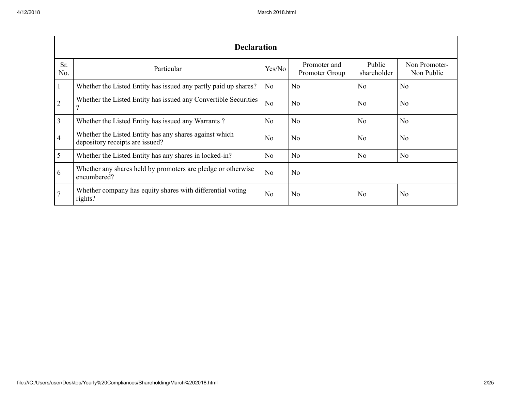|                | <b>Declaration</b>                                                                          |                |                                |                       |                             |  |  |  |  |  |  |
|----------------|---------------------------------------------------------------------------------------------|----------------|--------------------------------|-----------------------|-----------------------------|--|--|--|--|--|--|
| Sr.<br>No.     | Particular                                                                                  | Yes/No         | Promoter and<br>Promoter Group | Public<br>shareholder | Non Promoter-<br>Non Public |  |  |  |  |  |  |
|                | Whether the Listed Entity has issued any partly paid up shares?                             | N <sub>o</sub> | N <sub>0</sub>                 | N <sub>0</sub>        | N <sub>0</sub>              |  |  |  |  |  |  |
| $\overline{2}$ | Whether the Listed Entity has issued any Convertible Securities<br>$\overline{\mathcal{C}}$ | No             | N <sub>o</sub>                 | N <sub>0</sub>        | No                          |  |  |  |  |  |  |
| 3              | Whether the Listed Entity has issued any Warrants?                                          | N <sub>0</sub> | N <sub>o</sub>                 | N <sub>0</sub>        | N <sub>o</sub>              |  |  |  |  |  |  |
| 4              | Whether the Listed Entity has any shares against which<br>depository receipts are issued?   | N <sub>0</sub> | N <sub>0</sub>                 | N <sub>o</sub>        | N <sub>0</sub>              |  |  |  |  |  |  |
| 5              | Whether the Listed Entity has any shares in locked-in?                                      | N <sub>o</sub> | N <sub>o</sub>                 | N <sub>0</sub>        | N <sub>0</sub>              |  |  |  |  |  |  |
| 6              | Whether any shares held by promoters are pledge or otherwise<br>encumbered?                 | N <sub>o</sub> | N <sub>o</sub>                 |                       |                             |  |  |  |  |  |  |
|                | Whether company has equity shares with differential voting<br>rights?                       | N <sub>0</sub> | N <sub>0</sub>                 | N <sub>o</sub>        | N <sub>o</sub>              |  |  |  |  |  |  |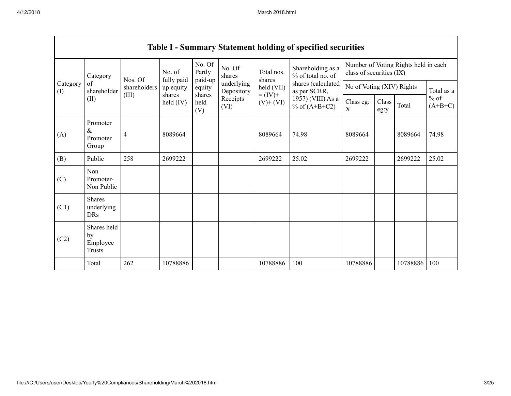$\mathsf{r}$ 

|                 | <b>Table I - Summary Statement holding of specified securities</b> |                                  |                                                                                                                            |                  |                              |                                      |                                                                              |                                                                  |       |                     |            |
|-----------------|--------------------------------------------------------------------|----------------------------------|----------------------------------------------------------------------------------------------------------------------------|------------------|------------------------------|--------------------------------------|------------------------------------------------------------------------------|------------------------------------------------------------------|-------|---------------------|------------|
|                 | Category<br>of<br>shareholder<br>(II)                              | Nos. Of<br>shareholders<br>(III) | No. Of<br>Partly<br>No. of<br>fully paid<br>paid-up<br>up equity<br>equity<br>shares<br>shares<br>held (IV)<br>held<br>(V) |                  | No. Of<br>shares             | Total nos.<br>shares<br>held (VII)   | Shareholding as a<br>% of total no. of<br>shares (calculated<br>as per SCRR, | Number of Voting Rights held in each<br>class of securities (IX) |       |                     |            |
| Category<br>(I) |                                                                    |                                  |                                                                                                                            |                  | underlying<br>Depository     |                                      |                                                                              | No of Voting (XIV) Rights                                        |       |                     | Total as a |
|                 |                                                                    |                                  |                                                                                                                            | Receipts<br>(VI) | $= (IV) +$<br>$(V)$ + $(VI)$ | 1957) (VIII) As a<br>% of $(A+B+C2)$ | Class eg:<br>X                                                               | Class<br>eg:y                                                    | Total | $%$ of<br>$(A+B+C)$ |            |
| (A)             | Promoter<br>$\&$<br>Promoter<br>Group                              | $\overline{4}$                   | 8089664                                                                                                                    |                  |                              | 8089664                              | 74.98                                                                        | 8089664                                                          |       | 8089664             | 74.98      |
| (B)             | Public                                                             | 258                              | 2699222                                                                                                                    |                  |                              | 2699222                              | 25.02                                                                        | 2699222                                                          |       | 2699222             | 25.02      |
| (C)             | Non<br>Promoter-<br>Non Public                                     |                                  |                                                                                                                            |                  |                              |                                      |                                                                              |                                                                  |       |                     |            |
| (C1)            | <b>Shares</b><br>underlying<br><b>DRs</b>                          |                                  |                                                                                                                            |                  |                              |                                      |                                                                              |                                                                  |       |                     |            |
| (C2)            | Shares held<br>by<br>Employee<br><b>Trusts</b>                     |                                  |                                                                                                                            |                  |                              |                                      |                                                                              |                                                                  |       |                     |            |
|                 | Total                                                              | 262                              | 10788886                                                                                                                   |                  |                              | 10788886                             | 100                                                                          | 10788886                                                         |       | 10788886            | 100        |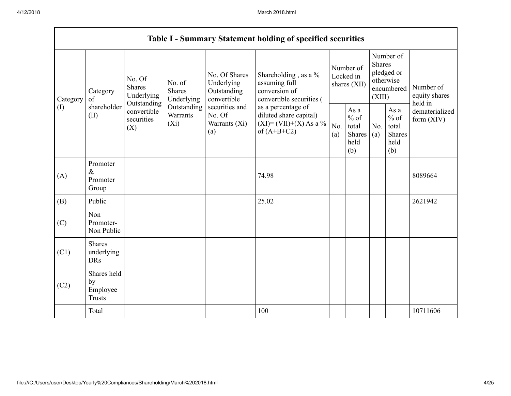Г

|                 | <b>Table I - Summary Statement holding of specified securities</b> |                                       |                                                                                            |                                                                                                               |                                                                                                                                                                                  |                                        |                                                  |                                                                               |                                                         |                                       |
|-----------------|--------------------------------------------------------------------|---------------------------------------|--------------------------------------------------------------------------------------------|---------------------------------------------------------------------------------------------------------------|----------------------------------------------------------------------------------------------------------------------------------------------------------------------------------|----------------------------------------|--------------------------------------------------|-------------------------------------------------------------------------------|---------------------------------------------------------|---------------------------------------|
| Category<br>(I) | Category<br>of<br>shareholder<br>(II)                              | No. Of<br><b>Shares</b><br>Underlying | No. of<br><b>Shares</b><br>Underlying<br>Outstanding<br>Outstanding<br>Warrants<br>$(X_i)$ | No. Of Shares<br>Underlying<br>Outstanding<br>convertible<br>securities and<br>No. Of<br>Warrants (Xi)<br>(a) | Shareholding, as a %<br>assuming full<br>conversion of<br>convertible securities (<br>as a percentage of<br>diluted share capital)<br>$(XI) = (VII)+(X) As a %$<br>of $(A+B+C2)$ | Number of<br>Locked in<br>shares (XII) |                                                  | Number of<br><b>Shares</b><br>pledged or<br>otherwise<br>encumbered<br>(XIII) |                                                         | Number of<br>equity shares<br>held in |
|                 |                                                                    | convertible<br>securities<br>(X)      |                                                                                            |                                                                                                               |                                                                                                                                                                                  | No.<br>(a)                             | As a<br>$%$ of<br>total<br>Shares<br>held<br>(b) | No.<br>(a)                                                                    | As a<br>$%$ of<br>total<br><b>Shares</b><br>held<br>(b) | dematerialized<br>form $(XIV)$        |
| (A)             | Promoter<br>$\&$<br>Promoter<br>Group                              |                                       |                                                                                            |                                                                                                               | 74.98                                                                                                                                                                            |                                        |                                                  |                                                                               |                                                         | 8089664                               |
| (B)             | Public                                                             |                                       |                                                                                            |                                                                                                               | 25.02                                                                                                                                                                            |                                        |                                                  |                                                                               |                                                         | 2621942                               |
| (C)             | Non<br>Promoter-<br>Non Public                                     |                                       |                                                                                            |                                                                                                               |                                                                                                                                                                                  |                                        |                                                  |                                                                               |                                                         |                                       |
| (C1)            | <b>Shares</b><br>underlying<br><b>DRs</b>                          |                                       |                                                                                            |                                                                                                               |                                                                                                                                                                                  |                                        |                                                  |                                                                               |                                                         |                                       |
| (C2)            | Shares held<br>by<br>Employee<br><b>Trusts</b>                     |                                       |                                                                                            |                                                                                                               |                                                                                                                                                                                  |                                        |                                                  |                                                                               |                                                         |                                       |
|                 | Total                                                              |                                       |                                                                                            |                                                                                                               | 100                                                                                                                                                                              |                                        |                                                  |                                                                               |                                                         | 10711606                              |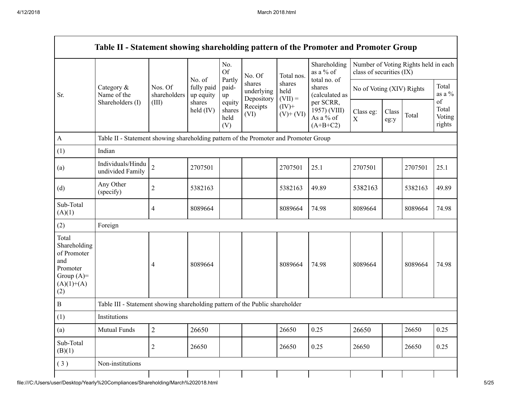|                                                                                                | Category $\&$<br>Name of the<br>Shareholders (I)                                     |                         |                                   | No.<br><b>Of</b>                | No. Of<br>shares<br>underlying<br>Depository<br>Receipts<br>(VI) | Total nos.<br>shares<br>held<br>$(VII) =$<br>$(IV)^+$<br>$(V)$ + $(VI)$ | Shareholding<br>as a % of<br>total no. of<br>shares<br>(calculated as<br>per SCRR,<br>1957) (VIII)<br>As a % of<br>$(A+B+C2)$ | class of securities (IX)  |               | Number of Voting Rights held in each |                                 |
|------------------------------------------------------------------------------------------------|--------------------------------------------------------------------------------------|-------------------------|-----------------------------------|---------------------------------|------------------------------------------------------------------|-------------------------------------------------------------------------|-------------------------------------------------------------------------------------------------------------------------------|---------------------------|---------------|--------------------------------------|---------------------------------|
| Sr.                                                                                            |                                                                                      | Nos. Of<br>shareholders | No. of<br>fully paid<br>up equity | Partly<br>paid-<br>up           |                                                                  |                                                                         |                                                                                                                               | No of Voting (XIV) Rights |               |                                      | Total<br>as a $\%$              |
|                                                                                                |                                                                                      | (III)                   | shares<br>held (IV)               | equity<br>shares<br>held<br>(V) |                                                                  |                                                                         |                                                                                                                               | Class eg:<br>$\mathbf X$  | Class<br>eg:y | Total                                | of<br>Total<br>Voting<br>rights |
| $\mathbf{A}$                                                                                   | Table II - Statement showing shareholding pattern of the Promoter and Promoter Group |                         |                                   |                                 |                                                                  |                                                                         |                                                                                                                               |                           |               |                                      |                                 |
| (1)                                                                                            | Indian                                                                               |                         |                                   |                                 |                                                                  |                                                                         |                                                                                                                               |                           |               |                                      |                                 |
| (a)                                                                                            | Individuals/Hindu<br>undivided Family                                                | $\overline{2}$          | 2707501                           |                                 |                                                                  | 2707501                                                                 | 25.1                                                                                                                          | 2707501                   |               | 2707501                              | 25.1                            |
| (d)                                                                                            | Any Other<br>(specify)                                                               | $\boldsymbol{2}$        | 5382163                           |                                 |                                                                  | 5382163                                                                 | 49.89                                                                                                                         | 5382163                   |               | 5382163                              | 49.89                           |
| Sub-Total<br>(A)(1)                                                                            |                                                                                      | 4                       | 8089664                           |                                 |                                                                  | 8089664                                                                 | 74.98                                                                                                                         | 8089664                   |               | 8089664                              | 74.98                           |
| (2)                                                                                            | Foreign                                                                              |                         |                                   |                                 |                                                                  |                                                                         |                                                                                                                               |                           |               |                                      |                                 |
| Total<br>Shareholding<br>of Promoter<br>and<br>Promoter<br>Group $(A)=$<br>$(A)(1)+(A)$<br>(2) |                                                                                      | 4                       | 8089664                           |                                 |                                                                  | 8089664                                                                 | 74.98                                                                                                                         | 8089664                   |               | 8089664                              | 74.98                           |
| $\, {\bf B}$                                                                                   | Table III - Statement showing shareholding pattern of the Public shareholder         |                         |                                   |                                 |                                                                  |                                                                         |                                                                                                                               |                           |               |                                      |                                 |
| (1)                                                                                            | Institutions                                                                         |                         |                                   |                                 |                                                                  |                                                                         |                                                                                                                               |                           |               |                                      |                                 |
| (a)                                                                                            | Mutual Funds                                                                         | $\overline{2}$          | 26650                             |                                 |                                                                  | 26650                                                                   | 0.25                                                                                                                          | 26650                     |               | 26650                                | 0.25                            |
| Sub-Total<br>(B)(1)                                                                            |                                                                                      | $\mathfrak{2}$          | 26650                             |                                 |                                                                  | 26650                                                                   | 0.25                                                                                                                          | 26650                     |               | 26650                                | 0.25                            |
| (3)                                                                                            | Non-institutions                                                                     |                         |                                   |                                 |                                                                  |                                                                         |                                                                                                                               |                           |               |                                      |                                 |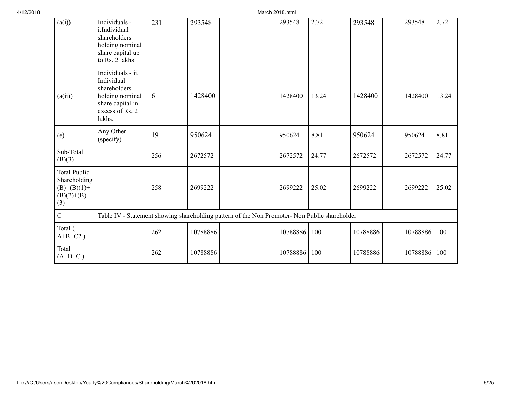| (a(i))                                                                        | Individuals -<br>i.Individual<br>shareholders<br>holding nominal<br>share capital up<br>to Rs. 2 lakhs.             | 231 | 293548   |  | 293548   | 2.72            | 293548   |                                                                                               | 293548   | 2.72  |
|-------------------------------------------------------------------------------|---------------------------------------------------------------------------------------------------------------------|-----|----------|--|----------|-----------------|----------|-----------------------------------------------------------------------------------------------|----------|-------|
| (a(ii))                                                                       | Individuals - ii.<br>Individual<br>shareholders<br>holding nominal<br>share capital in<br>excess of Rs. 2<br>lakhs. | 6   | 1428400  |  | 1428400  | 13.24           | 1428400  |                                                                                               | 1428400  | 13.24 |
| (e)                                                                           | Any Other<br>(specify)                                                                                              | 19  | 950624   |  | 950624   | 8.81            | 950624   |                                                                                               | 950624   | 8.81  |
| Sub-Total<br>(B)(3)                                                           |                                                                                                                     | 256 | 2672572  |  | 2672572  | 24.77           | 2672572  |                                                                                               | 2672572  | 24.77 |
| <b>Total Public</b><br>Shareholding<br>$(B)= (B)(1) +$<br>$(B)(2)+(B)$<br>(3) |                                                                                                                     | 258 | 2699222  |  | 2699222  | 25.02           | 2699222  |                                                                                               | 2699222  | 25.02 |
| $\overline{C}$                                                                |                                                                                                                     |     |          |  |          |                 |          |                                                                                               |          |       |
| Total (<br>$A+B+C2$ )                                                         |                                                                                                                     | 262 | 10788886 |  |          | 100             | 10788886 |                                                                                               | 10788886 | 100   |
| Total<br>$(A+B+C)$                                                            |                                                                                                                     | 262 | 10788886 |  | 10788886 | 100             | 10788886 |                                                                                               | 10788886 | 100   |
|                                                                               |                                                                                                                     |     |          |  |          | March 2018.html | 10788886 | Table IV - Statement showing shareholding pattern of the Non Promoter- Non Public shareholder |          |       |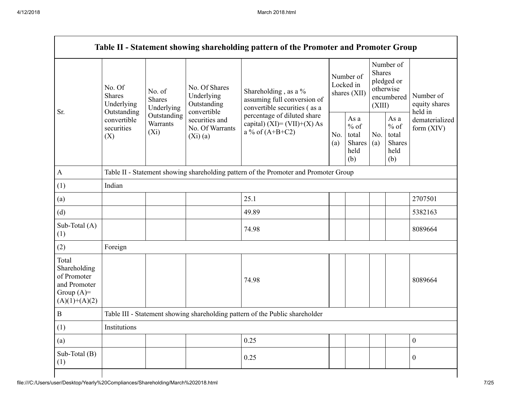|                                                                                         |                                                                                                                                                           |            |                                                           | Table II - Statement showing shareholding pattern of the Promoter and Promoter Group |                                        |                                                         |                                                                               |                                                         |                                       |
|-----------------------------------------------------------------------------------------|-----------------------------------------------------------------------------------------------------------------------------------------------------------|------------|-----------------------------------------------------------|--------------------------------------------------------------------------------------|----------------------------------------|---------------------------------------------------------|-------------------------------------------------------------------------------|---------------------------------------------------------|---------------------------------------|
| Sr.                                                                                     | No. Of<br>No. of<br><b>Shares</b><br><b>Shares</b><br>Underlying<br>Outstanding<br>Outstanding<br>convertible<br>Warrants<br>securities<br>$(X_i)$<br>(X) | Underlying | No. Of Shares<br>Underlying<br>Outstanding<br>convertible | Shareholding, as a %<br>assuming full conversion of<br>convertible securities (as a  | Number of<br>Locked in<br>shares (XII) |                                                         | Number of<br><b>Shares</b><br>pledged or<br>otherwise<br>encumbered<br>(XIII) |                                                         | Number of<br>equity shares<br>held in |
|                                                                                         |                                                                                                                                                           |            | securities and<br>No. Of Warrants<br>(Xi)(a)              | percentage of diluted share<br>capital) $(XI) = (VII)+(X) As$<br>a % of $(A+B+C2)$   |                                        | As a<br>$%$ of<br>total<br><b>Shares</b><br>held<br>(b) | No.<br>(a)                                                                    | As a<br>$%$ of<br>total<br><b>Shares</b><br>held<br>(b) | dematerialized<br>form (XIV)          |
| $\mathbf{A}$                                                                            |                                                                                                                                                           |            |                                                           | Table II - Statement showing shareholding pattern of the Promoter and Promoter Group |                                        |                                                         |                                                                               |                                                         |                                       |
| (1)                                                                                     | Indian                                                                                                                                                    |            |                                                           |                                                                                      |                                        |                                                         |                                                                               |                                                         |                                       |
| (a)                                                                                     |                                                                                                                                                           |            |                                                           | 25.1                                                                                 |                                        |                                                         |                                                                               |                                                         | 2707501                               |
| (d)                                                                                     |                                                                                                                                                           |            |                                                           | 49.89                                                                                |                                        |                                                         |                                                                               |                                                         | 5382163                               |
| Sub-Total (A)<br>(1)                                                                    |                                                                                                                                                           |            |                                                           | 74.98                                                                                |                                        |                                                         |                                                                               |                                                         | 8089664                               |
| (2)                                                                                     | Foreign                                                                                                                                                   |            |                                                           |                                                                                      |                                        |                                                         |                                                                               |                                                         |                                       |
| Total<br>Shareholding<br>of Promoter<br>and Promoter<br>Group $(A)=$<br>$(A)(1)+(A)(2)$ |                                                                                                                                                           |            |                                                           | 74.98                                                                                |                                        |                                                         |                                                                               |                                                         | 8089664                               |
| $\bf{B}$                                                                                |                                                                                                                                                           |            |                                                           | Table III - Statement showing shareholding pattern of the Public shareholder         |                                        |                                                         |                                                                               |                                                         |                                       |
| (1)                                                                                     | Institutions                                                                                                                                              |            |                                                           |                                                                                      |                                        |                                                         |                                                                               |                                                         |                                       |
| (a)                                                                                     |                                                                                                                                                           |            |                                                           | 0.25                                                                                 |                                        |                                                         |                                                                               |                                                         | $\mathbf{0}$                          |
| Sub-Total (B)<br>(1)                                                                    |                                                                                                                                                           |            |                                                           | 0.25                                                                                 |                                        |                                                         |                                                                               |                                                         | $\mathbf{0}$                          |
|                                                                                         |                                                                                                                                                           |            |                                                           |                                                                                      |                                        |                                                         |                                                                               |                                                         |                                       |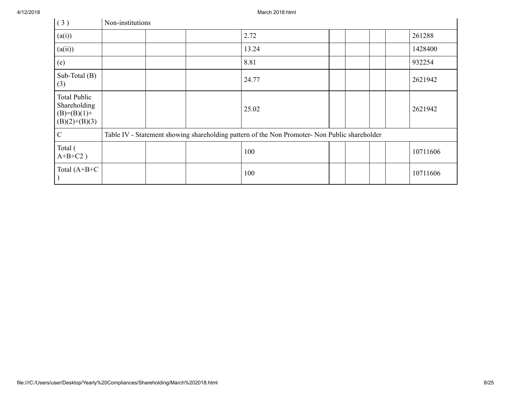4/12/2018 March 2018.html

| (3)                                                                     | Non-institutions |  |                                                                                               |  |  |          |
|-------------------------------------------------------------------------|------------------|--|-----------------------------------------------------------------------------------------------|--|--|----------|
| (a(i))                                                                  |                  |  | 2.72                                                                                          |  |  | 261288   |
| (a(ii))                                                                 |                  |  | 13.24                                                                                         |  |  | 1428400  |
| (e)                                                                     |                  |  | 8.81                                                                                          |  |  | 932254   |
| Sub-Total $(B)$<br>(3)                                                  |                  |  | 24.77                                                                                         |  |  | 2621942  |
| <b>Total Public</b><br>Shareholding<br>$(B)=(B)(1)+$<br>$(B)(2)+(B)(3)$ |                  |  | 25.02                                                                                         |  |  | 2621942  |
| $\mathcal{C}$                                                           |                  |  | Table IV - Statement showing shareholding pattern of the Non Promoter- Non Public shareholder |  |  |          |
| Total (<br>$A+B+C2$ )                                                   |                  |  | 100                                                                                           |  |  | 10711606 |
| Total $(A+B+C$                                                          |                  |  | 100                                                                                           |  |  | 10711606 |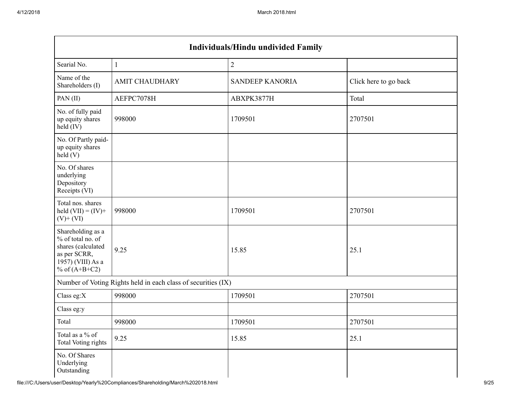$\sim$ 

| <b>Individuals/Hindu undivided Family</b>                                                                            |                                                               |                        |                       |  |  |  |  |  |  |
|----------------------------------------------------------------------------------------------------------------------|---------------------------------------------------------------|------------------------|-----------------------|--|--|--|--|--|--|
| Searial No.                                                                                                          | $\mathbf{1}$                                                  | $\overline{c}$         |                       |  |  |  |  |  |  |
| Name of the<br>Shareholders (I)                                                                                      | <b>AMIT CHAUDHARY</b>                                         | <b>SANDEEP KANORIA</b> | Click here to go back |  |  |  |  |  |  |
| PAN(II)                                                                                                              | AEFPC7078H                                                    | ABXPK3877H             | Total                 |  |  |  |  |  |  |
| No. of fully paid<br>up equity shares<br>held (IV)                                                                   | 998000                                                        | 1709501                | 2707501               |  |  |  |  |  |  |
| No. Of Partly paid-<br>up equity shares<br>held(V)                                                                   |                                                               |                        |                       |  |  |  |  |  |  |
| No. Of shares<br>underlying<br>Depository<br>Receipts (VI)                                                           |                                                               |                        |                       |  |  |  |  |  |  |
| Total nos. shares<br>held $(VII) = (IV) +$<br>$(V)$ + $(VI)$                                                         | 998000                                                        | 1709501                | 2707501               |  |  |  |  |  |  |
| Shareholding as a<br>% of total no. of<br>shares (calculated<br>as per SCRR,<br>1957) (VIII) As a<br>% of $(A+B+C2)$ | 9.25                                                          | 15.85                  | 25.1                  |  |  |  |  |  |  |
|                                                                                                                      | Number of Voting Rights held in each class of securities (IX) |                        |                       |  |  |  |  |  |  |
| Class eg:X                                                                                                           | 998000                                                        | 1709501                | 2707501               |  |  |  |  |  |  |
| Class eg:y                                                                                                           |                                                               |                        |                       |  |  |  |  |  |  |
| Total                                                                                                                | 998000                                                        | 1709501                | 2707501               |  |  |  |  |  |  |
| Total as a % of<br><b>Total Voting rights</b>                                                                        | 9.25                                                          | 15.85                  | 25.1                  |  |  |  |  |  |  |
| No. Of Shares<br>Underlying<br>Outstanding                                                                           |                                                               |                        |                       |  |  |  |  |  |  |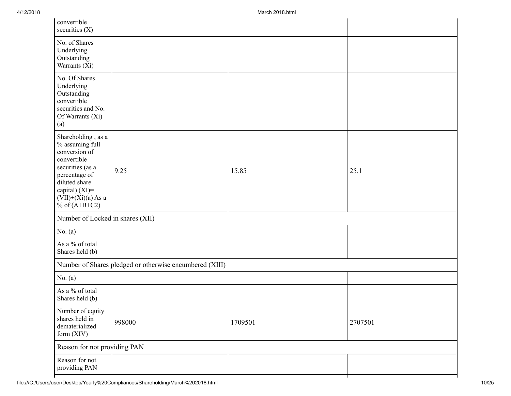| 9.25   | 15.85                                                                                                                       | 25.1    |
|--------|-----------------------------------------------------------------------------------------------------------------------------|---------|
|        |                                                                                                                             |         |
|        |                                                                                                                             |         |
|        |                                                                                                                             |         |
|        |                                                                                                                             |         |
|        |                                                                                                                             |         |
|        |                                                                                                                             |         |
| 998000 | 1709501                                                                                                                     | 2707501 |
|        |                                                                                                                             |         |
|        |                                                                                                                             |         |
|        | Number of Locked in shares (XII)<br>Number of Shares pledged or otherwise encumbered (XIII)<br>Reason for not providing PAN |         |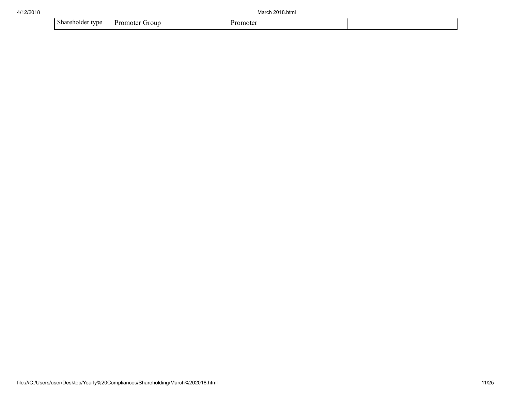| 4/12/2018 |                                   | March 2018.html |  |  |
|-----------|-----------------------------------|-----------------|--|--|
|           | Shareholder type   Promoter Group | Promoter        |  |  |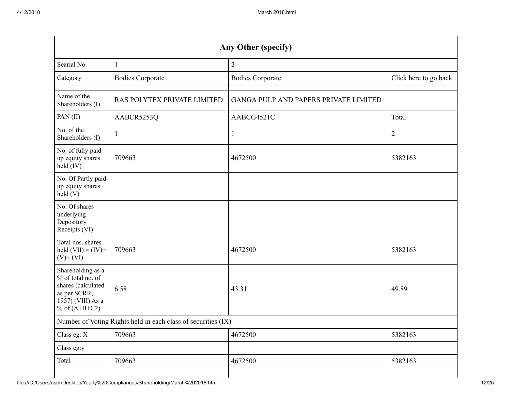| Any Other (specify)                                                                                                  |                                                               |                                       |                       |  |  |  |  |  |  |
|----------------------------------------------------------------------------------------------------------------------|---------------------------------------------------------------|---------------------------------------|-----------------------|--|--|--|--|--|--|
| Searial No.                                                                                                          | 1                                                             | 2                                     |                       |  |  |  |  |  |  |
| Category                                                                                                             | <b>Bodies Corporate</b>                                       | <b>Bodies Corporate</b>               | Click here to go back |  |  |  |  |  |  |
| Name of the<br>Shareholders (I)                                                                                      | RAS POLYTEX PRIVATE LIMITED                                   | GANGA PULP AND PAPERS PRIVATE LIMITED |                       |  |  |  |  |  |  |
| PAN(II)                                                                                                              | AABCR5253Q                                                    | AABCG4521C                            | Total                 |  |  |  |  |  |  |
| No. of the<br>Shareholders (I)                                                                                       | H                                                             |                                       | $\overline{2}$        |  |  |  |  |  |  |
| No. of fully paid<br>up equity shares<br>held (IV)                                                                   | 709663                                                        | 4672500                               | 5382163               |  |  |  |  |  |  |
| No. Of Partly paid-<br>up equity shares<br>$\text{held}(V)$                                                          |                                                               |                                       |                       |  |  |  |  |  |  |
| No. Of shares<br>underlying<br>Depository<br>Receipts (VI)                                                           |                                                               |                                       |                       |  |  |  |  |  |  |
| Total nos. shares<br>held $(VII) = (IV) +$<br>$(V)$ + $(VI)$                                                         | 709663                                                        | 4672500                               | 5382163               |  |  |  |  |  |  |
| Shareholding as a<br>% of total no. of<br>shares (calculated<br>as per SCRR,<br>1957) (VIII) As a<br>% of $(A+B+C2)$ | 6.58                                                          | 43.31                                 | 49.89                 |  |  |  |  |  |  |
|                                                                                                                      | Number of Voting Rights held in each class of securities (IX) |                                       |                       |  |  |  |  |  |  |
| Class eg: X                                                                                                          | 709663                                                        | 4672500                               | 5382163               |  |  |  |  |  |  |
| Class eg:y                                                                                                           |                                                               |                                       |                       |  |  |  |  |  |  |
| Total                                                                                                                | 709663                                                        | 4672500                               | 5382163               |  |  |  |  |  |  |
|                                                                                                                      |                                                               |                                       |                       |  |  |  |  |  |  |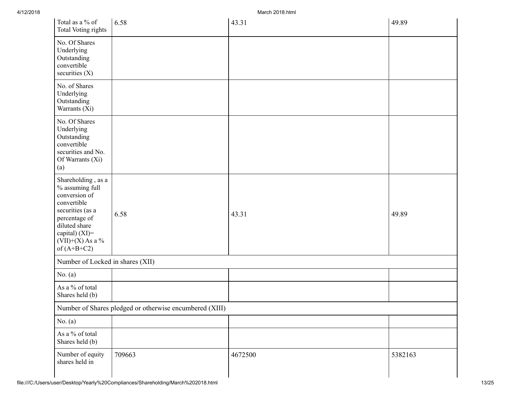| Total as a % of<br><b>Total Voting rights</b>                                                                                                                                        | 6.58                                                    | 43.31   | 49.89   |
|--------------------------------------------------------------------------------------------------------------------------------------------------------------------------------------|---------------------------------------------------------|---------|---------|
| No. Of Shares<br>Underlying<br>Outstanding<br>convertible<br>securities $(X)$                                                                                                        |                                                         |         |         |
| No. of Shares<br>Underlying<br>Outstanding<br>Warrants (Xi)                                                                                                                          |                                                         |         |         |
| No. Of Shares<br>Underlying<br>Outstanding<br>convertible<br>securities and No.<br>Of Warrants (Xi)<br>(a)                                                                           |                                                         |         |         |
| Shareholding, as a<br>% assuming full<br>conversion of<br>convertible<br>securities (as a<br>percentage of<br>diluted share<br>capital) (XI)=<br>$(VII)+(X)$ As a %<br>of $(A+B+C2)$ | 6.58                                                    | 43.31   | 49.89   |
| Number of Locked in shares (XII)                                                                                                                                                     |                                                         |         |         |
| No. $(a)$                                                                                                                                                                            |                                                         |         |         |
| As a % of total<br>Shares held (b)                                                                                                                                                   |                                                         |         |         |
|                                                                                                                                                                                      | Number of Shares pledged or otherwise encumbered (XIII) |         |         |
| No. $(a)$                                                                                                                                                                            |                                                         |         |         |
| As a % of total<br>Shares held (b)                                                                                                                                                   |                                                         |         |         |
| Number of equity<br>shares held in                                                                                                                                                   | 709663                                                  | 4672500 | 5382163 |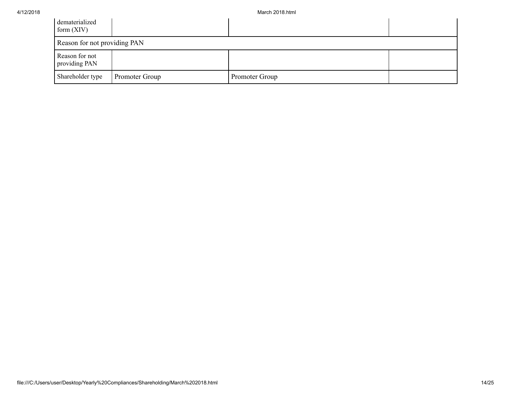| dematerialized<br>form $(XIV)$  |                |                |  |
|---------------------------------|----------------|----------------|--|
| Reason for not providing PAN    |                |                |  |
| Reason for not<br>providing PAN |                |                |  |
| Shareholder type                | Promoter Group | Promoter Group |  |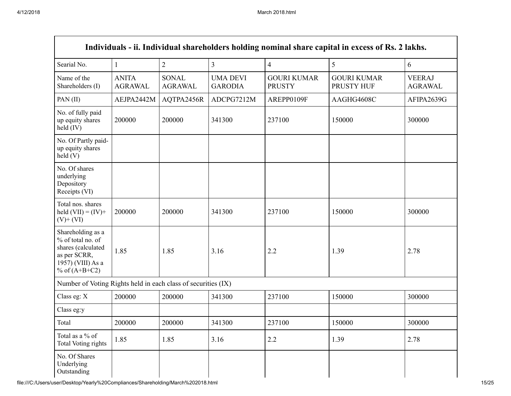| Individuals - ii. Individual shareholders holding nominal share capital in excess of Rs. 2 lakhs.                    |                                |                                |                                   |                                     |                                  |                                 |  |
|----------------------------------------------------------------------------------------------------------------------|--------------------------------|--------------------------------|-----------------------------------|-------------------------------------|----------------------------------|---------------------------------|--|
| Searial No.                                                                                                          | $\mathbf{1}$                   | $\overline{2}$                 | $\overline{\mathbf{3}}$           | $\overline{4}$                      | 5                                | 6                               |  |
| Name of the<br>Shareholders (I)                                                                                      | <b>ANITA</b><br><b>AGRAWAL</b> | <b>SONAL</b><br><b>AGRAWAL</b> | <b>UMA DEVI</b><br><b>GARODIA</b> | <b>GOURI KUMAR</b><br><b>PRUSTY</b> | <b>GOURI KUMAR</b><br>PRUSTY HUF | <b>VEERAJ</b><br><b>AGRAWAL</b> |  |
| PAN(II)                                                                                                              | AEJPA2442M                     | AQTPA2456R                     | ADCPG7212M                        | AREPP0109F                          | AAGHG4608C                       | AFIPA2639G                      |  |
| No. of fully paid<br>up equity shares<br>held (IV)                                                                   | 200000                         | 200000                         | 341300                            | 237100                              | 150000                           | 300000                          |  |
| No. Of Partly paid-<br>up equity shares<br>held(V)                                                                   |                                |                                |                                   |                                     |                                  |                                 |  |
| No. Of shares<br>underlying<br>Depository<br>Receipts (VI)                                                           |                                |                                |                                   |                                     |                                  |                                 |  |
| Total nos. shares<br>held $(VII) = (IV) +$<br>$(V)$ + $(VI)$                                                         | 200000                         | 200000                         | 341300                            | 237100                              | 150000                           | 300000                          |  |
| Shareholding as a<br>% of total no. of<br>shares (calculated<br>as per SCRR,<br>1957) (VIII) As a<br>% of $(A+B+C2)$ | 1.85                           | 1.85                           | 3.16                              | 2.2                                 | 1.39                             | 2.78                            |  |
| Number of Voting Rights held in each class of securities (IX)                                                        |                                |                                |                                   |                                     |                                  |                                 |  |
| Class eg: X                                                                                                          | 200000                         | 200000                         | 341300                            | 237100                              | 150000                           | 300000                          |  |
| Class eg:y                                                                                                           |                                |                                |                                   |                                     |                                  |                                 |  |
| Total                                                                                                                | 200000                         | 200000                         | 341300                            | 237100                              | 150000                           | 300000                          |  |
| Total as a % of<br>Total Voting rights                                                                               | 1.85                           | 1.85                           | 3.16                              | 2.2                                 | 1.39                             | 2.78                            |  |
| No. Of Shares<br>Underlying<br>Outstanding                                                                           |                                |                                |                                   |                                     |                                  |                                 |  |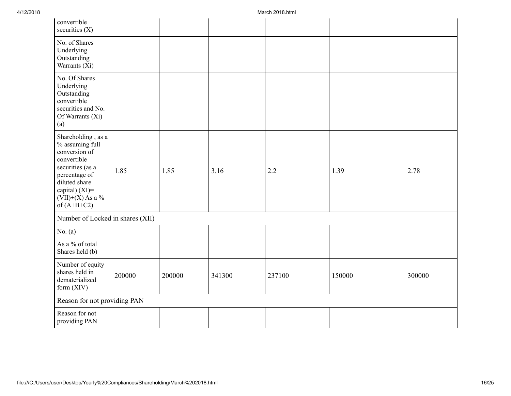| convertible<br>securities $(X)$                                                                                                                                                      |        |        |        |        |        |        |
|--------------------------------------------------------------------------------------------------------------------------------------------------------------------------------------|--------|--------|--------|--------|--------|--------|
| No. of Shares<br>Underlying<br>Outstanding<br>Warrants (Xi)                                                                                                                          |        |        |        |        |        |        |
| No. Of Shares<br>Underlying<br>Outstanding<br>convertible<br>securities and No.<br>Of Warrants (Xi)<br>(a)                                                                           |        |        |        |        |        |        |
| Shareholding, as a<br>% assuming full<br>conversion of<br>convertible<br>securities (as a<br>percentage of<br>diluted share<br>capital) (XI)=<br>$(VII)+(X)$ As a %<br>of $(A+B+C2)$ | 1.85   | 1.85   | 3.16   | 2.2    | 1.39   | 2.78   |
| Number of Locked in shares (XII)                                                                                                                                                     |        |        |        |        |        |        |
| No. $(a)$                                                                                                                                                                            |        |        |        |        |        |        |
| As a % of total<br>Shares held (b)                                                                                                                                                   |        |        |        |        |        |        |
| Number of equity<br>shares held in<br>dematerialized<br>form (XIV)                                                                                                                   | 200000 | 200000 | 341300 | 237100 | 150000 | 300000 |
| Reason for not providing PAN                                                                                                                                                         |        |        |        |        |        |        |
| Reason for not<br>providing PAN                                                                                                                                                      |        |        |        |        |        |        |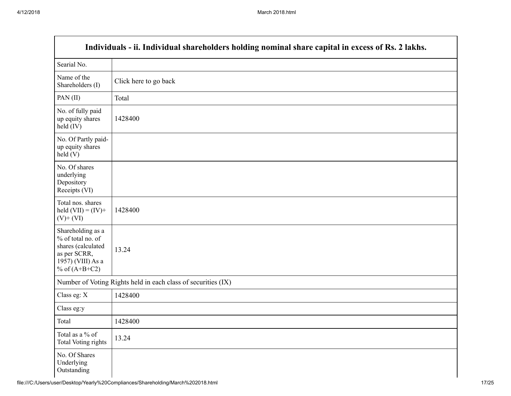|                                                                                                                      | Individuals - ii. Individual shareholders holding nominal share capital in excess of Rs. 2 lakhs. |
|----------------------------------------------------------------------------------------------------------------------|---------------------------------------------------------------------------------------------------|
| Searial No.                                                                                                          |                                                                                                   |
| Name of the<br>Shareholders (I)                                                                                      | Click here to go back                                                                             |
| PAN $(II)$                                                                                                           | Total                                                                                             |
| No. of fully paid<br>up equity shares<br>$held$ (IV)                                                                 | 1428400                                                                                           |
| No. Of Partly paid-<br>up equity shares<br>held(V)                                                                   |                                                                                                   |
| No. Of shares<br>underlying<br>Depository<br>Receipts (VI)                                                           |                                                                                                   |
| Total nos. shares<br>held $(VII) = (IV) +$<br>$(V)$ + $(VI)$                                                         | 1428400                                                                                           |
| Shareholding as a<br>% of total no. of<br>shares (calculated<br>as per SCRR,<br>1957) (VIII) As a<br>% of $(A+B+C2)$ | 13.24                                                                                             |
|                                                                                                                      | Number of Voting Rights held in each class of securities (IX)                                     |
| Class eg: X                                                                                                          | 1428400                                                                                           |
| Class eg:y                                                                                                           |                                                                                                   |
| Total                                                                                                                | 1428400                                                                                           |
| Total as a % of<br><b>Total Voting rights</b>                                                                        | 13.24                                                                                             |
| No. Of Shares<br>Underlying<br>Outstanding                                                                           |                                                                                                   |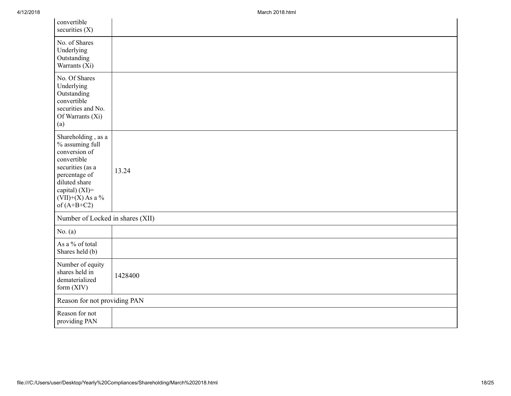| convertible<br>securities $(X)$                                                                                                                                                      |         |
|--------------------------------------------------------------------------------------------------------------------------------------------------------------------------------------|---------|
| No. of Shares<br>Underlying<br>Outstanding<br>Warrants (Xi)                                                                                                                          |         |
| No. Of Shares<br>Underlying<br>Outstanding<br>convertible<br>securities and No.<br>Of Warrants (Xi)<br>(a)                                                                           |         |
| Shareholding, as a<br>% assuming full<br>conversion of<br>convertible<br>securities (as a<br>percentage of<br>diluted share<br>capital) (XI)=<br>$(VII)+(X)$ As a %<br>of $(A+B+C2)$ | 13.24   |
| Number of Locked in shares (XII)                                                                                                                                                     |         |
| No. $(a)$                                                                                                                                                                            |         |
| As a % of total<br>Shares held (b)                                                                                                                                                   |         |
| Number of equity<br>shares held in<br>dematerialized<br>form $(XIV)$                                                                                                                 | 1428400 |
| Reason for not providing PAN                                                                                                                                                         |         |
| Reason for not<br>providing PAN                                                                                                                                                      |         |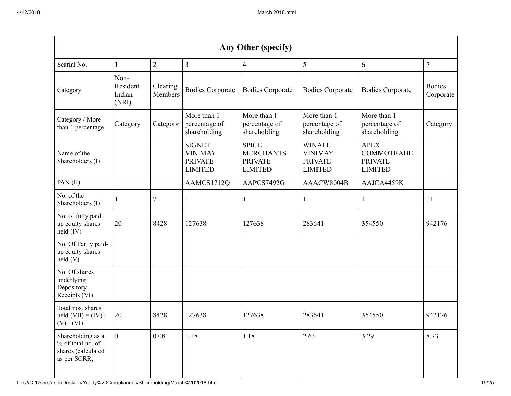| Any Other (specify)                                                          |                                     |                     |                                                                     |                                                                      |                                                                     |                                                                      |                            |
|------------------------------------------------------------------------------|-------------------------------------|---------------------|---------------------------------------------------------------------|----------------------------------------------------------------------|---------------------------------------------------------------------|----------------------------------------------------------------------|----------------------------|
| Searial No.                                                                  |                                     | $\overline{2}$      | $\overline{3}$                                                      | 4                                                                    | 5                                                                   | 6                                                                    | $\overline{7}$             |
| Category                                                                     | Non-<br>Resident<br>Indian<br>(NRI) | Clearing<br>Members | <b>Bodies Corporate</b>                                             | <b>Bodies Corporate</b>                                              | <b>Bodies Corporate</b>                                             | <b>Bodies Corporate</b>                                              | <b>Bodies</b><br>Corporate |
| Category / More<br>than 1 percentage                                         | Category                            | Category            | More than 1<br>percentage of<br>shareholding                        | More than 1<br>percentage of<br>shareholding                         | More than 1<br>percentage of<br>shareholding                        | More than 1<br>percentage of<br>shareholding                         | Category                   |
| Name of the<br>Shareholders (I)                                              |                                     |                     | <b>SIGNET</b><br><b>VINIMAY</b><br><b>PRIVATE</b><br><b>LIMITED</b> | <b>SPICE</b><br><b>MERCHANTS</b><br><b>PRIVATE</b><br><b>LIMITED</b> | <b>WINALL</b><br><b>VINIMAY</b><br><b>PRIVATE</b><br><b>LIMITED</b> | <b>APEX</b><br><b>COMMOTRADE</b><br><b>PRIVATE</b><br><b>LIMITED</b> |                            |
| PAN(II)                                                                      |                                     |                     | AAMCS1712Q                                                          | AAPCS7492G                                                           | AAACW8004B                                                          | AAJCA4459K                                                           |                            |
| No. of the<br>Shareholders (I)                                               |                                     | 7                   | 1                                                                   |                                                                      | 1                                                                   |                                                                      | 11                         |
| No. of fully paid<br>up equity shares<br>held (IV)                           | 20                                  | 8428                | 127638                                                              | 127638                                                               | 283641                                                              | 354550                                                               | 942176                     |
| No. Of Partly paid-<br>up equity shares<br>held(V)                           |                                     |                     |                                                                     |                                                                      |                                                                     |                                                                      |                            |
| No. Of shares<br>underlying<br>Depository<br>Receipts (VI)                   |                                     |                     |                                                                     |                                                                      |                                                                     |                                                                      |                            |
| Total nos. shares<br>held $(VII) = (IV) +$<br>$(V)$ + $(VI)$                 | 20                                  | 8428                | 127638                                                              | 127638                                                               | 283641                                                              | 354550                                                               | 942176                     |
| Shareholding as a<br>% of total no. of<br>shares (calculated<br>as per SCRR, | $\overline{0}$                      | 0.08                | 1.18                                                                | 1.18                                                                 | 2.63                                                                | 3.29                                                                 | 8.73                       |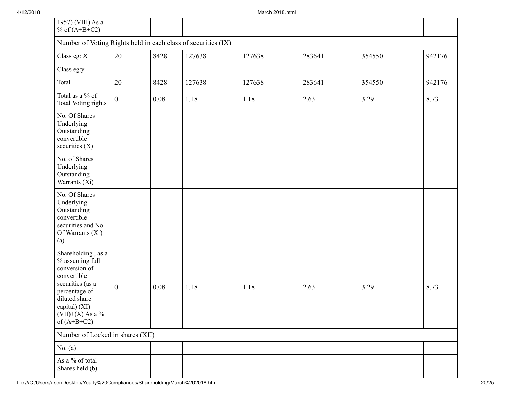4/12/2018 March 2018.html

| Number of Voting Rights held in each class of securities (IX)<br>Class eg: X<br>20<br>127638<br>8428<br>127638<br>283641<br>354550<br>Class eg:y                                                                                                 | 942176<br>942176 |
|--------------------------------------------------------------------------------------------------------------------------------------------------------------------------------------------------------------------------------------------------|------------------|
|                                                                                                                                                                                                                                                  |                  |
|                                                                                                                                                                                                                                                  |                  |
|                                                                                                                                                                                                                                                  |                  |
| Total<br>20<br>8428<br>127638<br>354550<br>127638<br>283641                                                                                                                                                                                      |                  |
| Total as a % of<br>1.18<br>3.29<br>$\mathbf{0}$<br>0.08<br>1.18<br>2.63<br><b>Total Voting rights</b>                                                                                                                                            | 8.73             |
| No. Of Shares<br>Underlying<br>Outstanding<br>convertible<br>securities $(X)$                                                                                                                                                                    |                  |
| No. of Shares<br>Underlying<br>Outstanding<br>Warrants (Xi)                                                                                                                                                                                      |                  |
| No. Of Shares<br>Underlying<br>Outstanding<br>convertible<br>securities and No.<br>Of Warrants (Xi)<br>(a)                                                                                                                                       |                  |
| Shareholding, as a<br>% assuming full<br>conversion of<br>convertible<br>securities (as a<br>$\boldsymbol{0}$<br>0.08<br>3.29<br>1.18<br>1.18<br>2.63<br>percentage of<br>diluted share<br>capital) (XI)=<br>$(VII)+(X)$ As a %<br>of $(A+B+C2)$ | 8.73             |
| Number of Locked in shares (XII)                                                                                                                                                                                                                 |                  |
| No. $(a)$                                                                                                                                                                                                                                        |                  |
| As a % of total<br>Shares held (b)                                                                                                                                                                                                               |                  |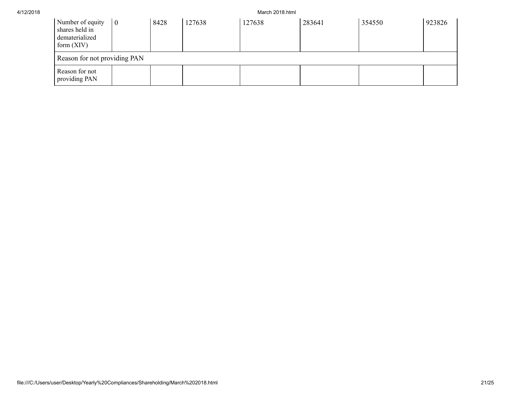|  | 4/12/2018 |  |
|--|-----------|--|
|--|-----------|--|

March 2018.html

| Number of equity<br>shares held in<br>dematerialized<br>form $(XIV)$ | $\theta$ | 8428 | 127638 | 127638 | 283641 | 354550 | 923826 |
|----------------------------------------------------------------------|----------|------|--------|--------|--------|--------|--------|
| Reason for not providing PAN                                         |          |      |        |        |        |        |        |
| Reason for not<br>providing PAN                                      |          |      |        |        |        |        |        |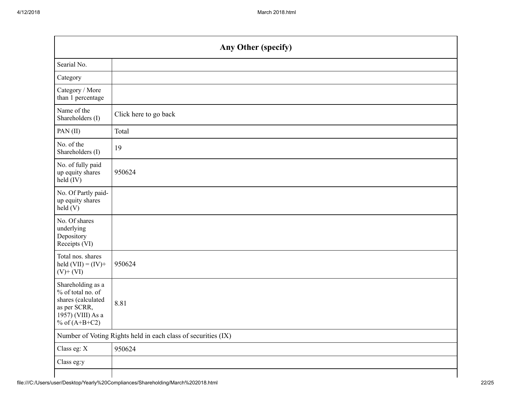|                                                                                                                      | <b>Any Other (specify)</b>                                    |
|----------------------------------------------------------------------------------------------------------------------|---------------------------------------------------------------|
| Searial No.                                                                                                          |                                                               |
| Category                                                                                                             |                                                               |
| Category / More<br>than 1 percentage                                                                                 |                                                               |
| Name of the<br>Shareholders (I)                                                                                      | Click here to go back                                         |
| PAN(II)                                                                                                              | Total                                                         |
| No. of the<br>Shareholders (I)                                                                                       | 19                                                            |
| No. of fully paid<br>up equity shares<br>held (IV)                                                                   | 950624                                                        |
| No. Of Partly paid-<br>up equity shares<br>held(V)                                                                   |                                                               |
| No. Of shares<br>underlying<br>Depository<br>Receipts (VI)                                                           |                                                               |
| Total nos. shares<br>held $(VII) = (IV) +$<br>$(V)$ + $(VI)$                                                         | 950624                                                        |
| Shareholding as a<br>% of total no. of<br>shares (calculated<br>as per SCRR,<br>1957) (VIII) As a<br>% of $(A+B+C2)$ | 8.81                                                          |
|                                                                                                                      | Number of Voting Rights held in each class of securities (IX) |
| Class eg: X                                                                                                          | 950624                                                        |
| Class eg:y                                                                                                           |                                                               |
|                                                                                                                      |                                                               |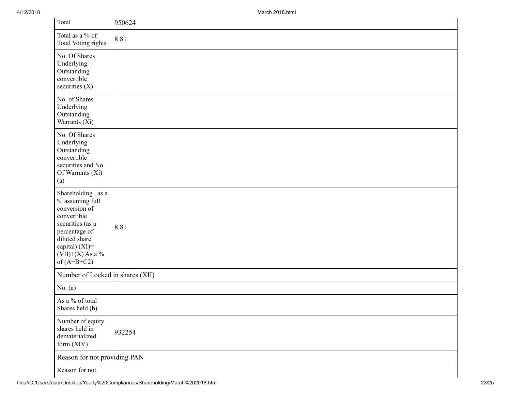| Total                                                                                                                                                                                   | 950624 |
|-----------------------------------------------------------------------------------------------------------------------------------------------------------------------------------------|--------|
| Total as a % of<br>Total Voting rights                                                                                                                                                  | 8.81   |
| No. Of Shares<br>Underlying<br>Outstanding<br>convertible<br>securities (X)                                                                                                             |        |
| No. of Shares<br>Underlying<br>Outstanding<br>Warrants (Xi)                                                                                                                             |        |
| No. Of Shares<br>Underlying<br>Outstanding<br>convertible<br>securities and No.<br>Of Warrants (Xi)<br>(a)                                                                              |        |
| Shareholding, as a<br>$\%$ assuming full<br>conversion of<br>convertible<br>securities (as a<br>percentage of<br>diluted share<br>capital) (XI)=<br>$(VII)+(X)$ As a %<br>of $(A+B+C2)$ | 8.81   |
| Number of Locked in shares (XII)                                                                                                                                                        |        |
| No. $(a)$                                                                                                                                                                               |        |
| As a % of total<br>Shares held (b)                                                                                                                                                      |        |
| Number of equity<br>shares held in<br>dematerialized<br>form (XIV)                                                                                                                      | 932254 |
| Reason for not providing PAN                                                                                                                                                            |        |
| Reason for not                                                                                                                                                                          |        |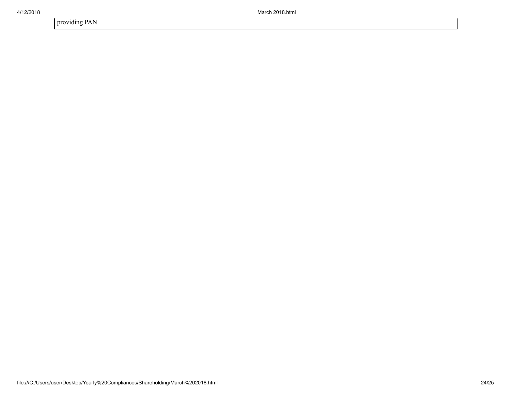providing PAN